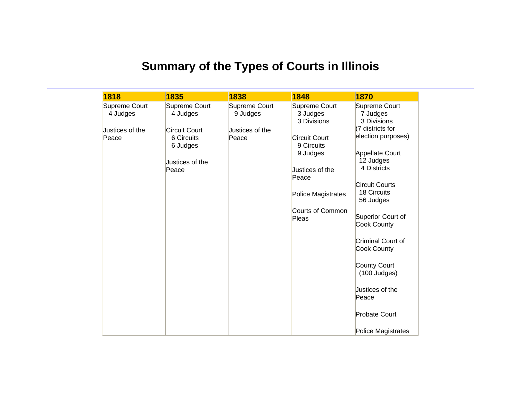## **Summary of the Types of Courts in Illinois**

| 1818            | 1835                 | 1838            | 1848                    | 1870                  |
|-----------------|----------------------|-----------------|-------------------------|-----------------------|
| Supreme Court   | Supreme Court        | Supreme Court   | Supreme Court           | Supreme Court         |
| 4 Judges        | 4 Judges             | 9 Judges        | 3 Judges                | 7 Judges              |
|                 |                      |                 | 3 Divisions             | 3 Divisions           |
| Justices of the | <b>Circuit Court</b> | Justices of the |                         | (7 districts for      |
| Peace           | 6 Circuits           | Peace           | <b>Circuit Court</b>    | election purposes)    |
|                 | 6 Judges             |                 | 9 Circuits              |                       |
|                 |                      |                 | 9 Judges                | Appellate Court       |
|                 | Justices of the      |                 |                         | 12 Judges             |
|                 | Peace                |                 | Justices of the         | 4 Districts           |
|                 |                      |                 | Peace                   |                       |
|                 |                      |                 |                         | <b>Circuit Courts</b> |
|                 |                      |                 | Police Magistrates      | 18 Circuits           |
|                 |                      |                 |                         | 56 Judges             |
|                 |                      |                 | <b>Courts of Common</b> |                       |
|                 |                      |                 | Pleas                   | Superior Court of     |
|                 |                      |                 |                         | <b>Cook County</b>    |
|                 |                      |                 |                         |                       |
|                 |                      |                 |                         | Criminal Court of     |
|                 |                      |                 |                         | Cook County           |
|                 |                      |                 |                         |                       |
|                 |                      |                 |                         | County Court          |
|                 |                      |                 |                         | (100 Judges)          |
|                 |                      |                 |                         |                       |
|                 |                      |                 |                         | Justices of the       |
|                 |                      |                 |                         | Peace                 |
|                 |                      |                 |                         |                       |
|                 |                      |                 |                         | <b>Probate Court</b>  |
|                 |                      |                 |                         |                       |
|                 |                      |                 |                         | Police Magistrates    |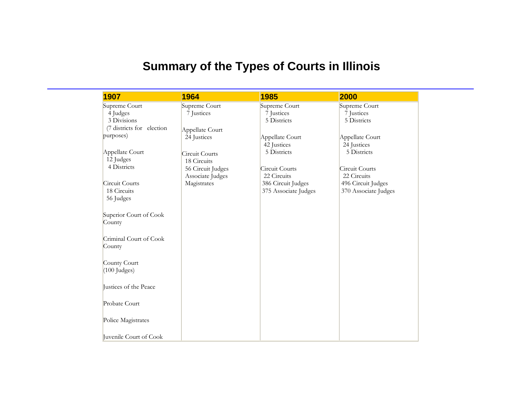## **Summary of the Types of Courts in Illinois**

| 1907                      | 1964                                  | 1985                 | 2000                 |
|---------------------------|---------------------------------------|----------------------|----------------------|
| Supreme Court             | Supreme Court                         | Supreme Court        | Supreme Court        |
| 4 Judges                  | 7 Justices                            | 7 Justices           | 7 Justices           |
| 3 Divisions               |                                       | 5 Districts          | 5 Districts          |
| (7 districts for election | Appellate Court                       |                      |                      |
| purposes)                 | 24 Justices                           | Appellate Court      | Appellate Court      |
|                           |                                       | 42 Justices          | 24 Justices          |
| Appellate Court           | Circuit Courts                        | 5 Districts          | 5 Districts          |
| 12 Judges                 | 18 Circuits                           |                      |                      |
| 4 Districts               |                                       | Circuit Courts       | Circuit Courts       |
|                           | 56 Circuit Judges<br>Associate Judges | 22 Circuits          | 22 Circuits          |
| Circuit Courts            | Magistrates                           | 386 Circuit Judges   | 496 Circuit Judges   |
| 18 Circuits               |                                       |                      |                      |
|                           |                                       | 375 Associate Judges | 370 Associate Judges |
| 56 Judges                 |                                       |                      |                      |
|                           |                                       |                      |                      |
| Superior Court of Cook    |                                       |                      |                      |
| County                    |                                       |                      |                      |
|                           |                                       |                      |                      |
| Criminal Court of Cook    |                                       |                      |                      |
| County                    |                                       |                      |                      |
|                           |                                       |                      |                      |
| County Court              |                                       |                      |                      |
| $(100$ Judges)            |                                       |                      |                      |
|                           |                                       |                      |                      |
| Justices of the Peace     |                                       |                      |                      |
|                           |                                       |                      |                      |
| Probate Court             |                                       |                      |                      |
|                           |                                       |                      |                      |
| Police Magistrates        |                                       |                      |                      |
|                           |                                       |                      |                      |
| Juvenile Court of Cook    |                                       |                      |                      |
|                           |                                       |                      |                      |